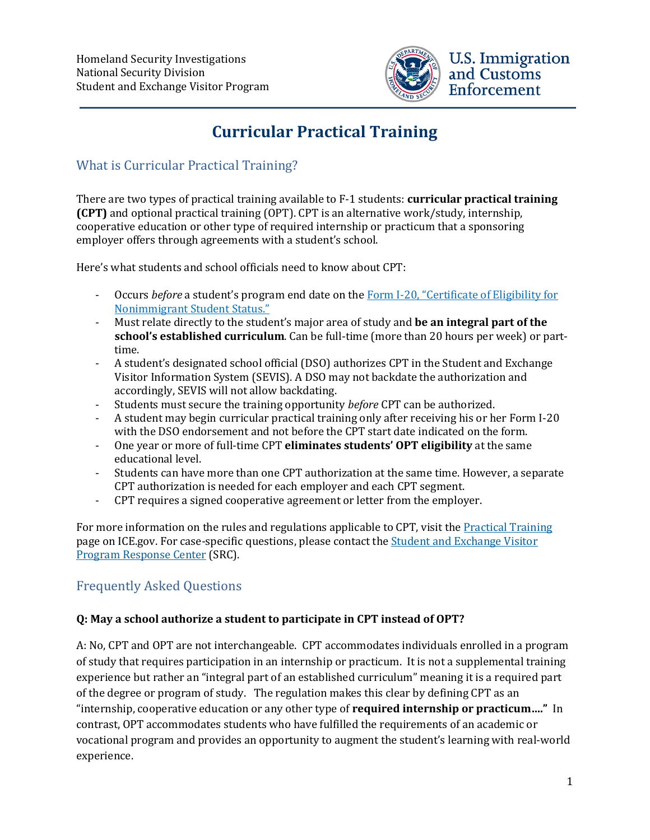

# **Curricular Practical Training**

## What is Curricular Practical Training?

There are two types of practical training available to F-1 students: **curricular practical training (CPT)** and optional practical training (OPT). CPT is an alternative work/study, internship, cooperative education or other type of required internship or practicum that a sponsoring employer offers through agreements with a student's school.

Here's what students and school officials need to know about CPT:

- Occurs *before* a student's program end date on the [Form I-20, "Certificate of Eligibility for](https://studyinthestates.dhs.gov/student-forms?form=Forms_I-20) [Nonimmigrant Student Status."](https://studyinthestates.dhs.gov/student-forms?form=Forms_I-20)
- Must relate directly to the student's major area of study and **be an integral part of the school's established curriculum**. Can be full-time (more than 20 hours per week) or parttime.
- A student's designated school official (DSO) authorizes CPT in the Student and Exchange Visitor Information System (SEVIS). A DSO may not backdate the authorization and accordingly, SEVIS will not allow backdating.
- Students must secure the training opportunity *before* CPT can be authorized.
- A student may begin curricular practical training only after receiving his or her Form I-20 with the DSO endorsement and not before the CPT start date indicated on the form.
- One year or more of full-time CPT **eliminates students' OPT eligibility** at the same educational level.
- Students can have more than one CPT authorization at the same time. However, a separate CPT authorization is needed for each employer and each CPT segment.
- CPT requires a signed cooperative agreement or letter from the employer.

For more information on the rules and regulations applicable to CPT, visit the [Practical](https://www.ice.gov/sevis/practical-training#wcm-survey-target-id) Training page on ICE.gov. For case-specific questions, please contact the Student and [Exchange](https://studyinthestates.dhs.gov/contact-us) Visitor [Program Response](https://studyinthestates.dhs.gov/contact-us) Center (SRC).

## Frequently Asked Questions

#### **Q: May a school authorize a student to participate in CPT instead of OPT?**

A: No, CPT and OPT are not interchangeable. CPT accommodates individuals enrolled in a program of study that requires participation in an internship or practicum. It is not a supplemental training experience but rather an "integral part of an established curriculum" meaning it is a required part of the degree or program of study. The regulation makes this clear by defining CPT as an "internship, cooperative education or any other type of **required internship or practicum…."** In contrast, OPT accommodates students who have fulfilled the requirements of an academic or vocational program and provides an opportunity to augment the student's learning with real-world experience.